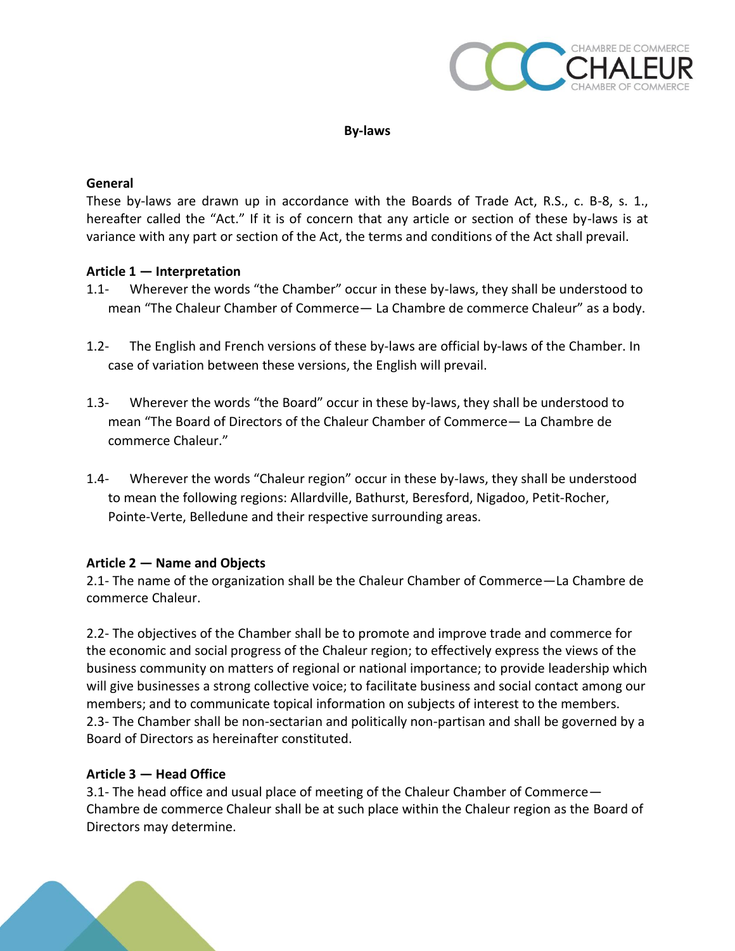

### **By-laws**

#### **General**

These by-laws are drawn up in accordance with the Boards of Trade Act, R.S., c. B-8, s. 1., hereafter called the "Act." If it is of concern that any article or section of these by-laws is at variance with any part or section of the Act, the terms and conditions of the Act shall prevail.

### **Article 1 — Interpretation**

- 1.1- Wherever the words "the Chamber" occur in these by-laws, they shall be understood to mean "The Chaleur Chamber of Commerce— La Chambre de commerce Chaleur" as a body.
- 1.2- The English and French versions of these by-laws are official by-laws of the Chamber. In case of variation between these versions, the English will prevail.
- 1.3- Wherever the words "the Board" occur in these by-laws, they shall be understood to mean "The Board of Directors of the Chaleur Chamber of Commerce— La Chambre de commerce Chaleur."
- 1.4- Wherever the words "Chaleur region" occur in these by-laws, they shall be understood to mean the following regions: Allardville, Bathurst, Beresford, Nigadoo, Petit-Rocher, Pointe-Verte, Belledune and their respective surrounding areas.

# **Article 2 — Name and Objects**

2.1- The name of the organization shall be the Chaleur Chamber of Commerce—La Chambre de commerce Chaleur.

2.2- The objectives of the Chamber shall be to promote and improve trade and commerce for the economic and social progress of the Chaleur region; to effectively express the views of the business community on matters of regional or national importance; to provide leadership which will give businesses a strong collective voice; to facilitate business and social contact among our members; and to communicate topical information on subjects of interest to the members. 2.3- The Chamber shall be non-sectarian and politically non-partisan and shall be governed by a Board of Directors as hereinafter constituted.

# **Article 3 — Head Office**

3.1- The head office and usual place of meeting of the Chaleur Chamber of Commerce— Chambre de commerce Chaleur shall be at such place within the Chaleur region as the Board of Directors may determine.

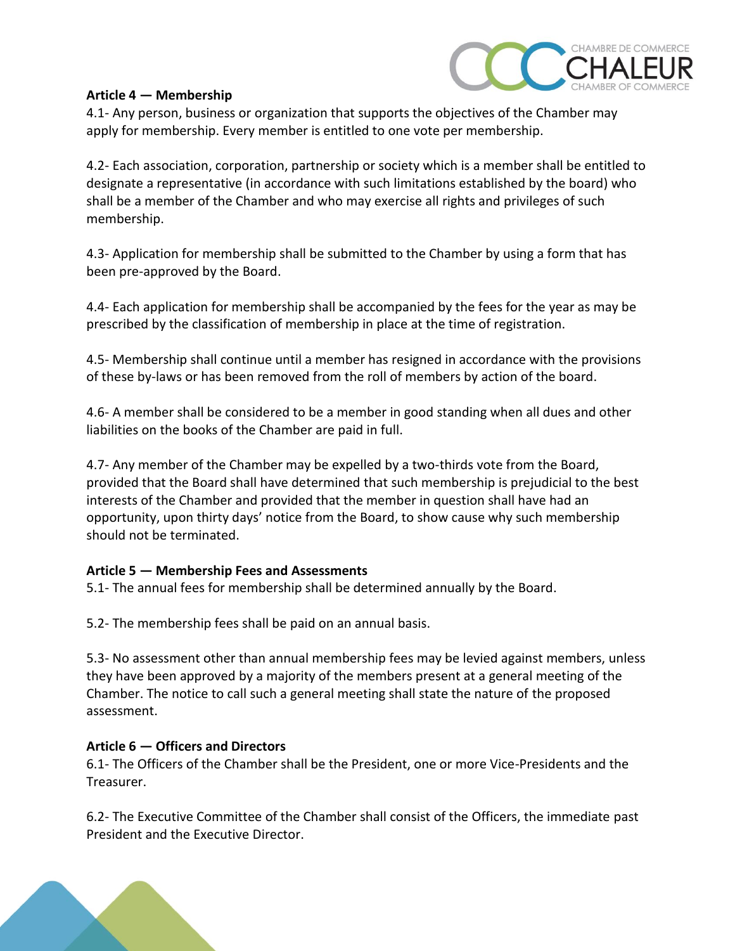

### **Article 4 — Membership**

4.1- Any person, business or organization that supports the objectives of the Chamber may apply for membership. Every member is entitled to one vote per membership.

4.2- Each association, corporation, partnership or society which is a member shall be entitled to designate a representative (in accordance with such limitations established by the board) who shall be a member of the Chamber and who may exercise all rights and privileges of such membership.

4.3- Application for membership shall be submitted to the Chamber by using a form that has been pre-approved by the Board.

4.4- Each application for membership shall be accompanied by the fees for the year as may be prescribed by the classification of membership in place at the time of registration.

4.5- Membership shall continue until a member has resigned in accordance with the provisions of these by-laws or has been removed from the roll of members by action of the board.

4.6- A member shall be considered to be a member in good standing when all dues and other liabilities on the books of the Chamber are paid in full.

4.7- Any member of the Chamber may be expelled by a two-thirds vote from the Board, provided that the Board shall have determined that such membership is prejudicial to the best interests of the Chamber and provided that the member in question shall have had an opportunity, upon thirty days' notice from the Board, to show cause why such membership should not be terminated.

# **Article 5 — Membership Fees and Assessments**

5.1- The annual fees for membership shall be determined annually by the Board.

5.2- The membership fees shall be paid on an annual basis.

5.3- No assessment other than annual membership fees may be levied against members, unless they have been approved by a majority of the members present at a general meeting of the Chamber. The notice to call such a general meeting shall state the nature of the proposed assessment.

# **Article 6 — Officers and Directors**

6.1- The Officers of the Chamber shall be the President, one or more Vice-Presidents and the Treasurer.

6.2- The Executive Committee of the Chamber shall consist of the Officers, the immediate past President and the Executive Director.

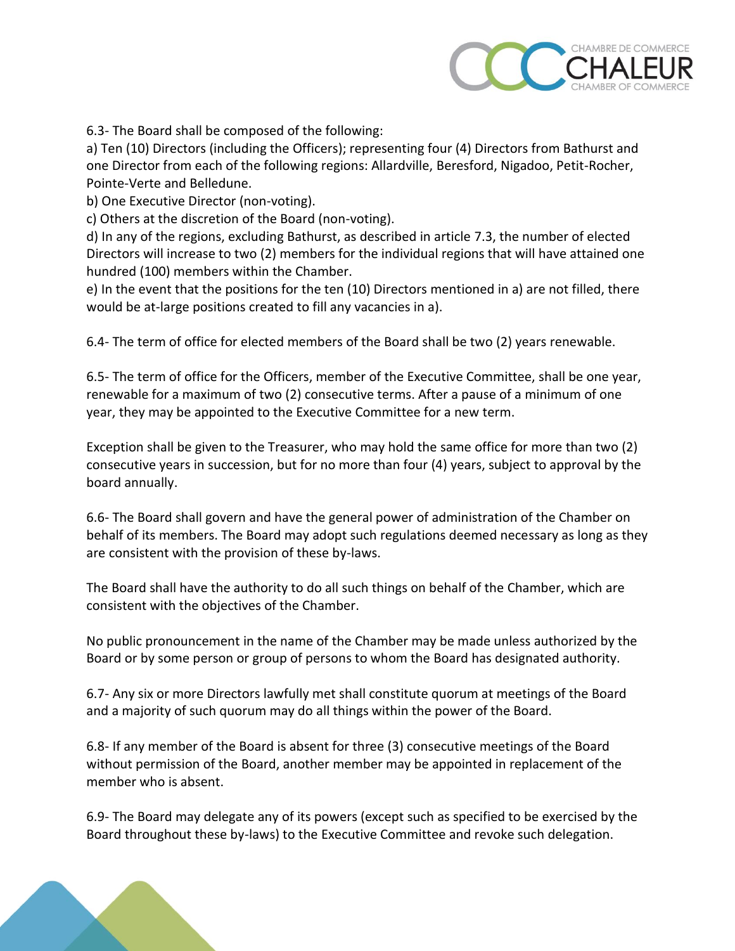

6.3- The Board shall be composed of the following:

a) Ten (10) Directors (including the Officers); representing four (4) Directors from Bathurst and one Director from each of the following regions: Allardville, Beresford, Nigadoo, Petit-Rocher, Pointe-Verte and Belledune.

b) One Executive Director (non-voting).

c) Others at the discretion of the Board (non-voting).

d) In any of the regions, excluding Bathurst, as described in article 7.3, the number of elected Directors will increase to two (2) members for the individual regions that will have attained one hundred (100) members within the Chamber.

e) In the event that the positions for the ten (10) Directors mentioned in a) are not filled, there would be at-large positions created to fill any vacancies in a).

6.4- The term of office for elected members of the Board shall be two (2) years renewable.

6.5- The term of office for the Officers, member of the Executive Committee, shall be one year, renewable for a maximum of two (2) consecutive terms. After a pause of a minimum of one year, they may be appointed to the Executive Committee for a new term.

Exception shall be given to the Treasurer, who may hold the same office for more than two (2) consecutive years in succession, but for no more than four (4) years, subject to approval by the board annually.

6.6- The Board shall govern and have the general power of administration of the Chamber on behalf of its members. The Board may adopt such regulations deemed necessary as long as they are consistent with the provision of these by-laws.

The Board shall have the authority to do all such things on behalf of the Chamber, which are consistent with the objectives of the Chamber.

No public pronouncement in the name of the Chamber may be made unless authorized by the Board or by some person or group of persons to whom the Board has designated authority.

6.7- Any six or more Directors lawfully met shall constitute quorum at meetings of the Board and a majority of such quorum may do all things within the power of the Board.

6.8- If any member of the Board is absent for three (3) consecutive meetings of the Board without permission of the Board, another member may be appointed in replacement of the member who is absent.

6.9- The Board may delegate any of its powers (except such as specified to be exercised by the Board throughout these by-laws) to the Executive Committee and revoke such delegation.

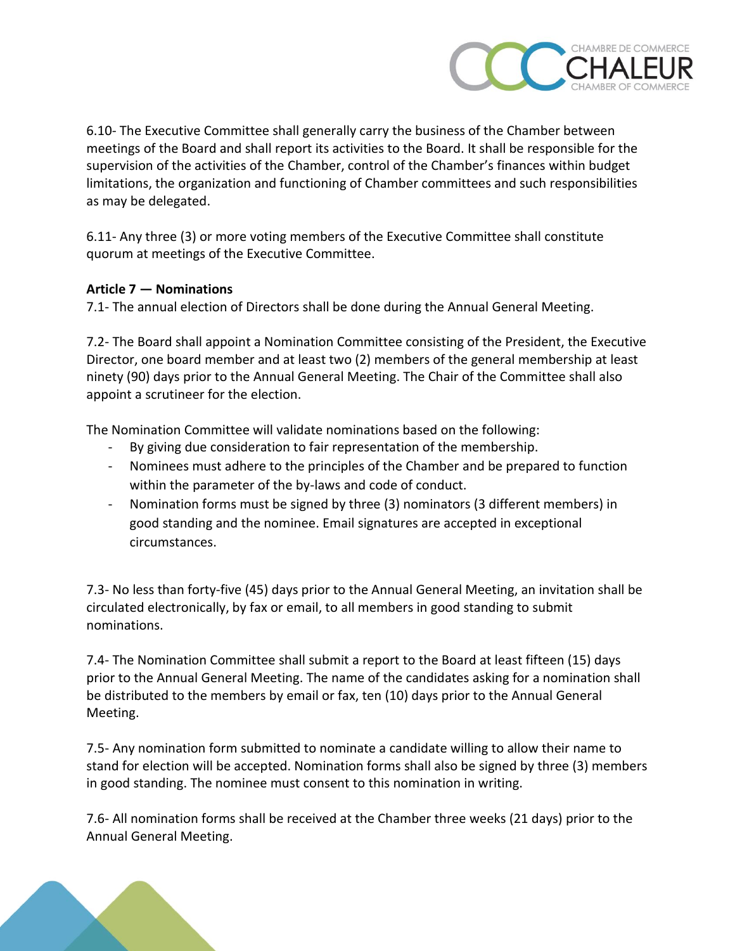

6.10- The Executive Committee shall generally carry the business of the Chamber between meetings of the Board and shall report its activities to the Board. It shall be responsible for the supervision of the activities of the Chamber, control of the Chamber's finances within budget limitations, the organization and functioning of Chamber committees and such responsibilities as may be delegated.

6.11- Any three (3) or more voting members of the Executive Committee shall constitute quorum at meetings of the Executive Committee.

# **Article 7 — Nominations**

7.1- The annual election of Directors shall be done during the Annual General Meeting.

7.2- The Board shall appoint a Nomination Committee consisting of the President, the Executive Director, one board member and at least two (2) members of the general membership at least ninety (90) days prior to the Annual General Meeting. The Chair of the Committee shall also appoint a scrutineer for the election.

The Nomination Committee will validate nominations based on the following:

- By giving due consideration to fair representation of the membership.
- Nominees must adhere to the principles of the Chamber and be prepared to function within the parameter of the by-laws and code of conduct.
- Nomination forms must be signed by three (3) nominators (3 different members) in good standing and the nominee. Email signatures are accepted in exceptional circumstances.

7.3- No less than forty-five (45) days prior to the Annual General Meeting, an invitation shall be circulated electronically, by fax or email, to all members in good standing to submit nominations.

7.4- The Nomination Committee shall submit a report to the Board at least fifteen (15) days prior to the Annual General Meeting. The name of the candidates asking for a nomination shall be distributed to the members by email or fax, ten (10) days prior to the Annual General Meeting.

7.5- Any nomination form submitted to nominate a candidate willing to allow their name to stand for election will be accepted. Nomination forms shall also be signed by three (3) members in good standing. The nominee must consent to this nomination in writing.

7.6- All nomination forms shall be received at the Chamber three weeks (21 days) prior to the Annual General Meeting.

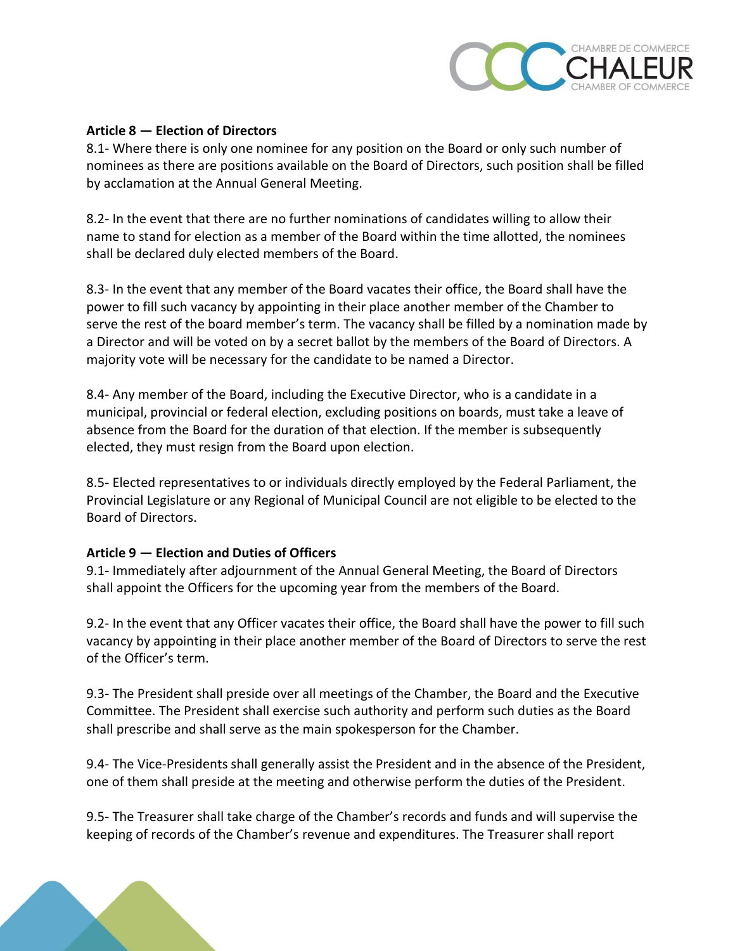

# **Article 8 — Election of Directors**

8.1- Where there is only one nominee for any position on the Board or only such number of nominees as there are positions available on the Board of Directors, such position shall be filled by acclamation at the Annual General Meeting.

8.2- In the event that there are no further nominations of candidates willing to allow their name to stand for election as a member of the Board within the time allotted, the nominees shall be declared duly elected members of the Board.

8.3- In the event that any member of the Board vacates their office, the Board shall have the power to fill such vacancy by appointing in their place another member of the Chamber to serve the rest of the board member's term. The vacancy shall be filled by a nomination made by a Director and will be voted on by a secret ballot by the members of the Board of Directors. A majority vote will be necessary for the candidate to be named a Director.

8.4- Any member of the Board, including the Executive Director, who is a candidate in a municipal, provincial or federal election, excluding positions on boards, must take a leave of absence from the Board for the duration of that election. If the member is subsequently elected, they must resign from the Board upon election.

8.5- Elected representatives to or individuals directly employed by the Federal Parliament, the Provincial Legislature or any Regional of Municipal Council are not eligible to be elected to the Board of Directors.

# **Article 9 — Election and Duties of Officers**

9.1- Immediately after adjournment of the Annual General Meeting, the Board of Directors shall appoint the Officers for the upcoming year from the members of the Board.

9.2- In the event that any Officer vacates their office, the Board shall have the power to fill such vacancy by appointing in their place another member of the Board of Directors to serve the rest of the Officer's term.

9.3- The President shall preside over all meetings of the Chamber, the Board and the Executive Committee. The President shall exercise such authority and perform such duties as the Board shall prescribe and shall serve as the main spokesperson for the Chamber.

9.4- The Vice-Presidents shall generally assist the President and in the absence of the President, one of them shall preside at the meeting and otherwise perform the duties of the President.

9.5- The Treasurer shall take charge of the Chamber's records and funds and will supervise the keeping of records of the Chamber's revenue and expenditures. The Treasurer shall report

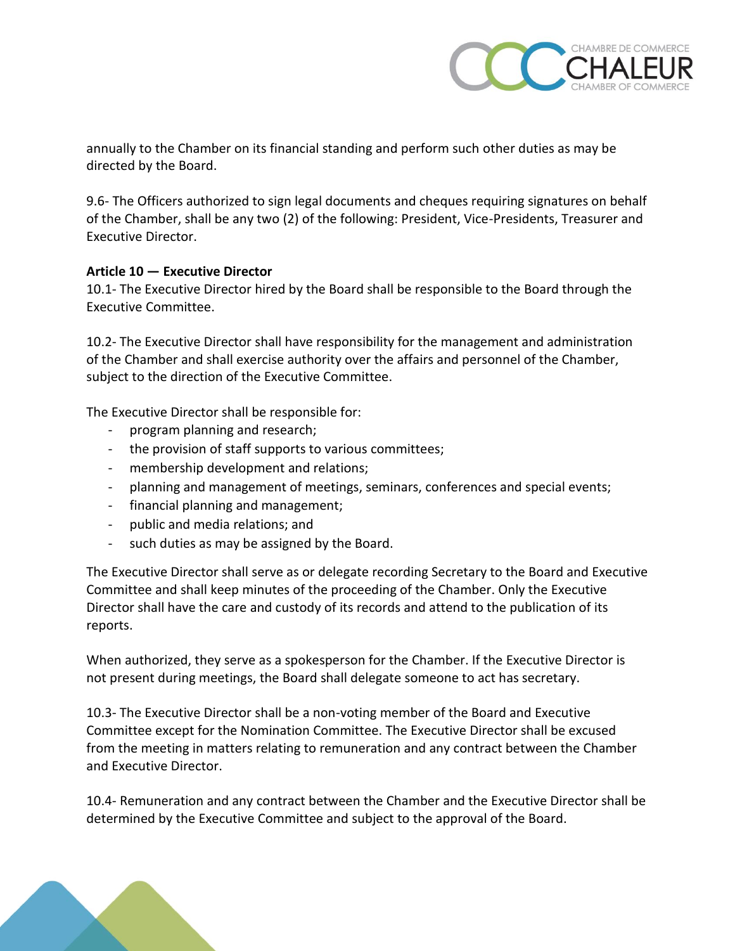

annually to the Chamber on its financial standing and perform such other duties as may be directed by the Board.

9.6- The Officers authorized to sign legal documents and cheques requiring signatures on behalf of the Chamber, shall be any two (2) of the following: President, Vice-Presidents, Treasurer and Executive Director.

# **Article 10 — Executive Director**

10.1- The Executive Director hired by the Board shall be responsible to the Board through the Executive Committee.

10.2- The Executive Director shall have responsibility for the management and administration of the Chamber and shall exercise authority over the affairs and personnel of the Chamber, subject to the direction of the Executive Committee.

The Executive Director shall be responsible for:

- program planning and research;
- the provision of staff supports to various committees;
- membership development and relations;
- planning and management of meetings, seminars, conferences and special events;
- financial planning and management;
- public and media relations; and
- such duties as may be assigned by the Board.

The Executive Director shall serve as or delegate recording Secretary to the Board and Executive Committee and shall keep minutes of the proceeding of the Chamber. Only the Executive Director shall have the care and custody of its records and attend to the publication of its reports.

When authorized, they serve as a spokesperson for the Chamber. If the Executive Director is not present during meetings, the Board shall delegate someone to act has secretary.

10.3- The Executive Director shall be a non-voting member of the Board and Executive Committee except for the Nomination Committee. The Executive Director shall be excused from the meeting in matters relating to remuneration and any contract between the Chamber and Executive Director.

10.4- Remuneration and any contract between the Chamber and the Executive Director shall be determined by the Executive Committee and subject to the approval of the Board.

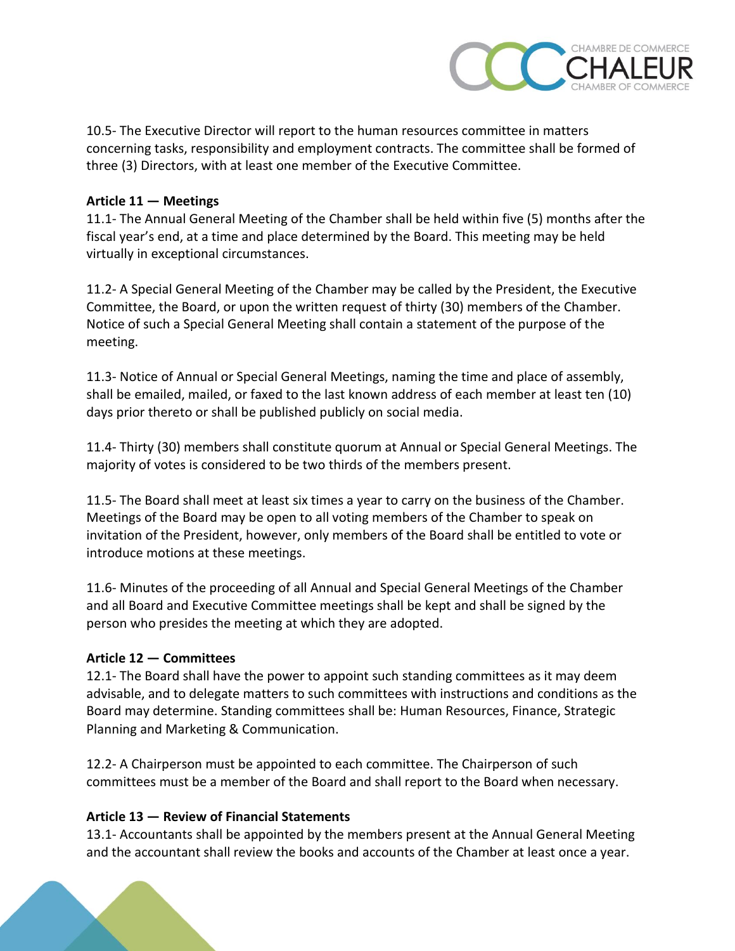

10.5- The Executive Director will report to the human resources committee in matters concerning tasks, responsibility and employment contracts. The committee shall be formed of three (3) Directors, with at least one member of the Executive Committee.

# **Article 11 — Meetings**

11.1- The Annual General Meeting of the Chamber shall be held within five (5) months after the fiscal year's end, at a time and place determined by the Board. This meeting may be held virtually in exceptional circumstances.

11.2- A Special General Meeting of the Chamber may be called by the President, the Executive Committee, the Board, or upon the written request of thirty (30) members of the Chamber. Notice of such a Special General Meeting shall contain a statement of the purpose of the meeting.

11.3- Notice of Annual or Special General Meetings, naming the time and place of assembly, shall be emailed, mailed, or faxed to the last known address of each member at least ten (10) days prior thereto or shall be published publicly on social media.

11.4- Thirty (30) members shall constitute quorum at Annual or Special General Meetings. The majority of votes is considered to be two thirds of the members present.

11.5- The Board shall meet at least six times a year to carry on the business of the Chamber. Meetings of the Board may be open to all voting members of the Chamber to speak on invitation of the President, however, only members of the Board shall be entitled to vote or introduce motions at these meetings.

11.6- Minutes of the proceeding of all Annual and Special General Meetings of the Chamber and all Board and Executive Committee meetings shall be kept and shall be signed by the person who presides the meeting at which they are adopted.

# **Article 12 — Committees**

12.1- The Board shall have the power to appoint such standing committees as it may deem advisable, and to delegate matters to such committees with instructions and conditions as the Board may determine. Standing committees shall be: Human Resources, Finance, Strategic Planning and Marketing & Communication.

12.2- A Chairperson must be appointed to each committee. The Chairperson of such committees must be a member of the Board and shall report to the Board when necessary.

# **Article 13 — Review of Financial Statements**

13.1- Accountants shall be appointed by the members present at the Annual General Meeting and the accountant shall review the books and accounts of the Chamber at least once a year.